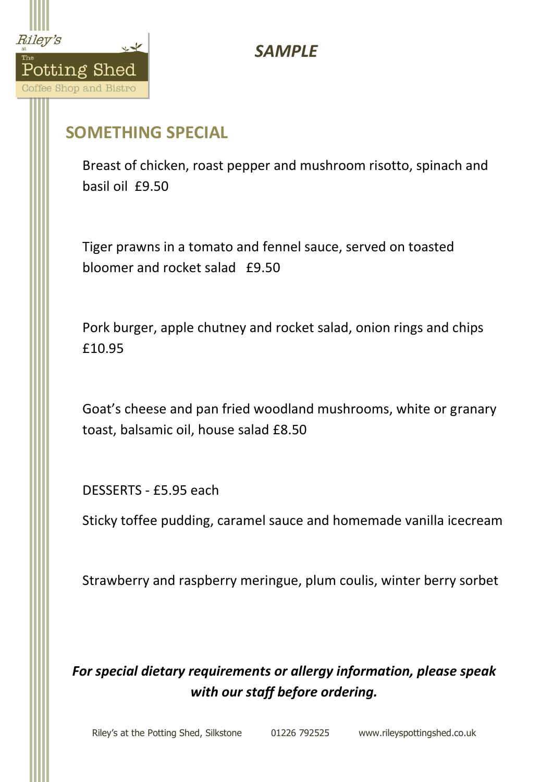

## *SAMPLE*

## **SOMETHING SPECIAL**

Breast of chicken, roast pepper and mushroom risotto, spinach and basil oil £9.50

Tiger prawns in a tomato and fennel sauce, served on toasted bloomer and rocket salad £9.50

Pork burger, apple chutney and rocket salad, onion rings and chips £10.95

Goat's cheese and pan fried woodland mushrooms, white or granary toast, balsamic oil, house salad £8.50

DESSERTS - £5.95 each

Sticky toffee pudding, caramel sauce and homemade vanilla icecream

Strawberry and raspberry meringue, plum coulis, winter berry sorbet

*For special dietary requirements or allergy information, please speak with our staff before ordering.*